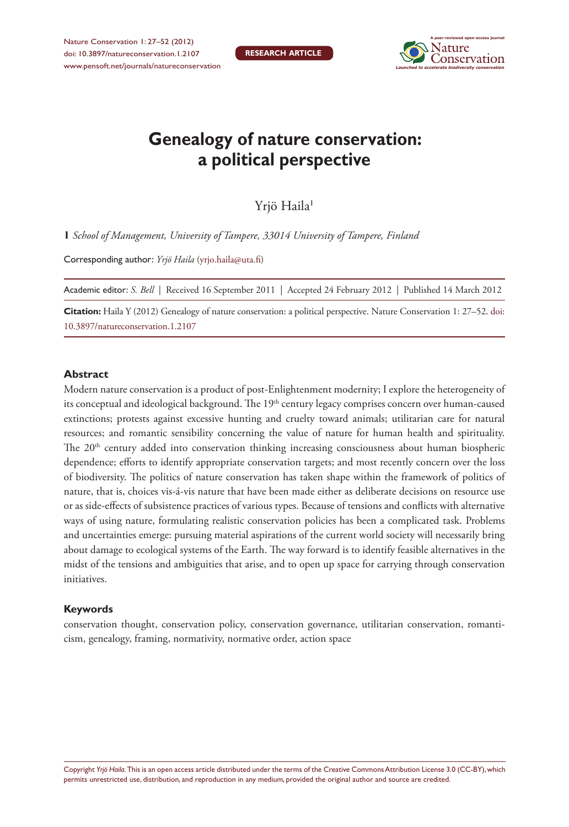

# **Genealogy of nature conservation: a political perspective**

Yrjö Haila<sup>1</sup>

**1** *School of Management, University of Tampere, 33014 University of Tampere, Finland*

Corresponding author: *Yrjö Haila* [\(yrjo.haila@uta.fi](mailto:yrjo.haila@uta.fi))

Academic editor: *S. Bell* | Received 16 September 2011 | Accepted 24 February 2012 | Published 14 March 2012

**Citation:** Haila Y (2012) Genealogy of nature conservation: a political perspective. Nature Conservation 1: 27–52. [doi:](http://dx.doi.org/10.3897/natureconservation.1.2107) [10.3897/natureconservation.1.2107](http://dx.doi.org/10.3897/natureconservation.1.2107)

#### **Abstract**

Modern nature conservation is a product of post-Enlightenment modernity; I explore the heterogeneity of its conceptual and ideological background. The 19<sup>th</sup> century legacy comprises concern over human-caused extinctions; protests against excessive hunting and cruelty toward animals; utilitarian care for natural resources; and romantic sensibility concerning the value of nature for human health and spirituality. The 20<sup>th</sup> century added into conservation thinking increasing consciousness about human biospheric dependence; efforts to identify appropriate conservation targets; and most recently concern over the loss of biodiversity. The politics of nature conservation has taken shape within the framework of politics of nature, that is, choices vis-á-vis nature that have been made either as deliberate decisions on resource use or as side-effects of subsistence practices of various types. Because of tensions and conflicts with alternative ways of using nature, formulating realistic conservation policies has been a complicated task. Problems and uncertainties emerge: pursuing material aspirations of the current world society will necessarily bring about damage to ecological systems of the Earth. The way forward is to identify feasible alternatives in the midst of the tensions and ambiguities that arise, and to open up space for carrying through conservation initiatives.

#### **Keywords**

conservation thought, conservation policy, conservation governance, utilitarian conservation, romanticism, genealogy, framing, normativity, normative order, action space

Copyright *Yrjö Haila.* This is an open access article distributed under the terms of the [Creative Commons Attribution License 3.0 \(CC-BY\),](http://creativecommons.org/licenses/by/3.0/) which permits unrestricted use, distribution, and reproduction in any medium, provided the original author and source are credited.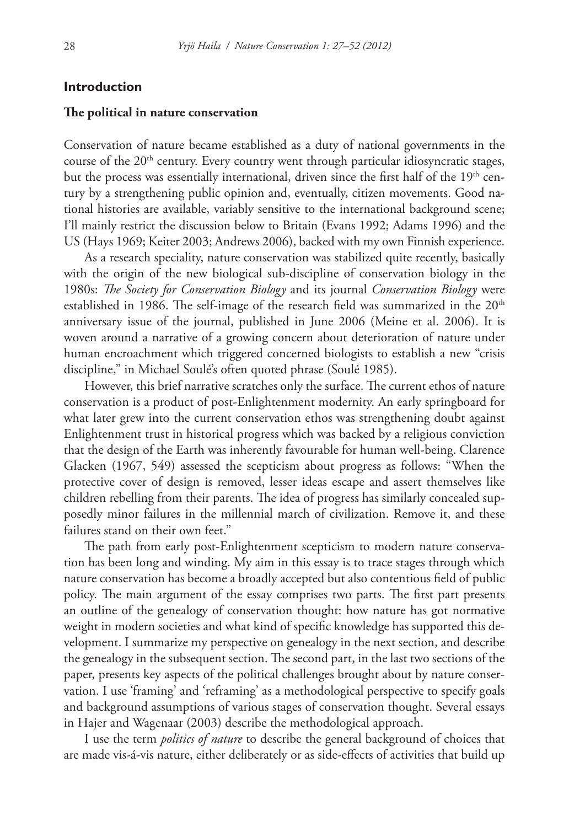## **Introduction**

#### **The political in nature conservation**

Conservation of nature became established as a duty of national governments in the course of the  $20<sup>th</sup>$  century. Every country went through particular idiosyncratic stages, but the process was essentially international, driven since the first half of the 19<sup>th</sup> century by a strengthening public opinion and, eventually, citizen movements. Good national histories are available, variably sensitive to the international background scene; I'll mainly restrict the discussion below to Britain (Evans 1992; Adams 1996) and the US (Hays 1969; Keiter 2003; Andrews 2006), backed with my own Finnish experience.

As a research speciality, nature conservation was stabilized quite recently, basically with the origin of the new biological sub-discipline of conservation biology in the 1980s: *The Society for Conservation Biology* and its journal *Conservation Biology* were established in 1986. The self-image of the research field was summarized in the  $20<sup>th</sup>$ anniversary issue of the journal, published in June 2006 (Meine et al. 2006). It is woven around a narrative of a growing concern about deterioration of nature under human encroachment which triggered concerned biologists to establish a new "crisis discipline," in Michael Soulé's often quoted phrase (Soulé 1985).

However, this brief narrative scratches only the surface. The current ethos of nature conservation is a product of post-Enlightenment modernity. An early springboard for what later grew into the current conservation ethos was strengthening doubt against Enlightenment trust in historical progress which was backed by a religious conviction that the design of the Earth was inherently favourable for human well-being. Clarence Glacken (1967, 549) assessed the scepticism about progress as follows: "When the protective cover of design is removed, lesser ideas escape and assert themselves like children rebelling from their parents. The idea of progress has similarly concealed supposedly minor failures in the millennial march of civilization. Remove it, and these failures stand on their own feet."

The path from early post-Enlightenment scepticism to modern nature conservation has been long and winding. My aim in this essay is to trace stages through which nature conservation has become a broadly accepted but also contentious field of public policy. The main argument of the essay comprises two parts. The first part presents an outline of the genealogy of conservation thought: how nature has got normative weight in modern societies and what kind of specific knowledge has supported this development. I summarize my perspective on genealogy in the next section, and describe the genealogy in the subsequent section. The second part, in the last two sections of the paper, presents key aspects of the political challenges brought about by nature conservation. I use 'framing' and 'reframing' as a methodological perspective to specify goals and background assumptions of various stages of conservation thought. Several essays in Hajer and Wagenaar (2003) describe the methodological approach.

I use the term *politics of nature* to describe the general background of choices that are made vis-á-vis nature, either deliberately or as side-effects of activities that build up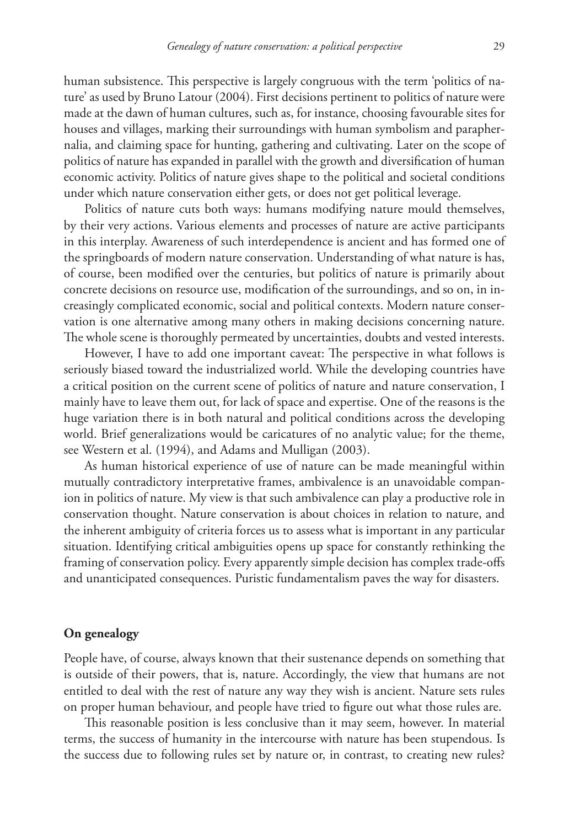human subsistence. This perspective is largely congruous with the term 'politics of nature' as used by Bruno Latour (2004). First decisions pertinent to politics of nature were made at the dawn of human cultures, such as, for instance, choosing favourable sites for houses and villages, marking their surroundings with human symbolism and paraphernalia, and claiming space for hunting, gathering and cultivating. Later on the scope of politics of nature has expanded in parallel with the growth and diversification of human economic activity. Politics of nature gives shape to the political and societal conditions under which nature conservation either gets, or does not get political leverage.

Politics of nature cuts both ways: humans modifying nature mould themselves, by their very actions. Various elements and processes of nature are active participants in this interplay. Awareness of such interdependence is ancient and has formed one of the springboards of modern nature conservation. Understanding of what nature is has, of course, been modified over the centuries, but politics of nature is primarily about concrete decisions on resource use, modification of the surroundings, and so on, in increasingly complicated economic, social and political contexts. Modern nature conservation is one alternative among many others in making decisions concerning nature. The whole scene is thoroughly permeated by uncertainties, doubts and vested interests.

However, I have to add one important caveat: The perspective in what follows is seriously biased toward the industrialized world. While the developing countries have a critical position on the current scene of politics of nature and nature conservation, I mainly have to leave them out, for lack of space and expertise. One of the reasons is the huge variation there is in both natural and political conditions across the developing world. Brief generalizations would be caricatures of no analytic value; for the theme, see Western et al. (1994), and Adams and Mulligan (2003).

As human historical experience of use of nature can be made meaningful within mutually contradictory interpretative frames, ambivalence is an unavoidable companion in politics of nature. My view is that such ambivalence can play a productive role in conservation thought. Nature conservation is about choices in relation to nature, and the inherent ambiguity of criteria forces us to assess what is important in any particular situation. Identifying critical ambiguities opens up space for constantly rethinking the framing of conservation policy. Every apparently simple decision has complex trade-offs and unanticipated consequences. Puristic fundamentalism paves the way for disasters.

#### **On genealogy**

People have, of course, always known that their sustenance depends on something that is outside of their powers, that is, nature. Accordingly, the view that humans are not entitled to deal with the rest of nature any way they wish is ancient. Nature sets rules on proper human behaviour, and people have tried to figure out what those rules are.

This reasonable position is less conclusive than it may seem, however. In material terms, the success of humanity in the intercourse with nature has been stupendous. Is the success due to following rules set by nature or, in contrast, to creating new rules?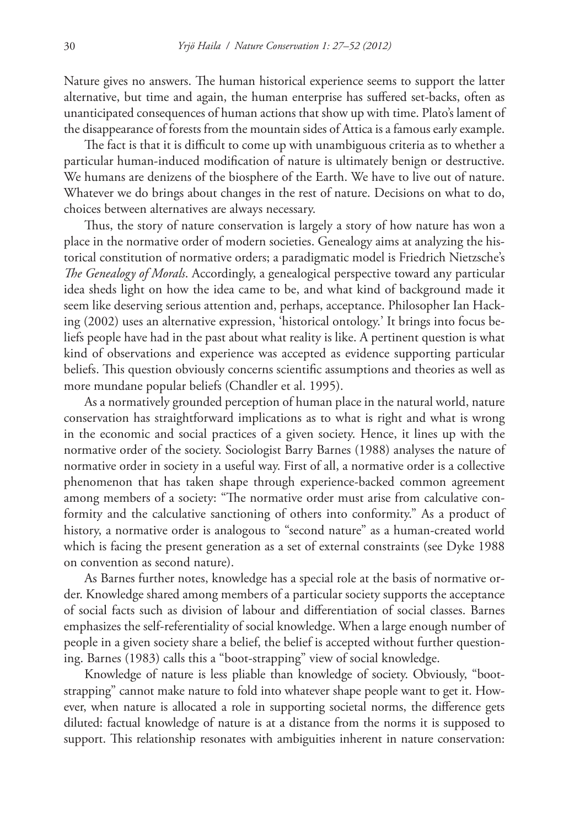Nature gives no answers. The human historical experience seems to support the latter alternative, but time and again, the human enterprise has suffered set-backs, often as unanticipated consequences of human actions that show up with time. Plato's lament of the disappearance of forests from the mountain sides of Attica is a famous early example.

The fact is that it is difficult to come up with unambiguous criteria as to whether a particular human-induced modification of nature is ultimately benign or destructive. We humans are denizens of the biosphere of the Earth. We have to live out of nature. Whatever we do brings about changes in the rest of nature. Decisions on what to do, choices between alternatives are always necessary.

Thus, the story of nature conservation is largely a story of how nature has won a place in the normative order of modern societies. Genealogy aims at analyzing the historical constitution of normative orders; a paradigmatic model is Friedrich Nietzsche's *The Genealogy of Morals*. Accordingly, a genealogical perspective toward any particular idea sheds light on how the idea came to be, and what kind of background made it seem like deserving serious attention and, perhaps, acceptance. Philosopher Ian Hacking (2002) uses an alternative expression, 'historical ontology.' It brings into focus beliefs people have had in the past about what reality is like. A pertinent question is what kind of observations and experience was accepted as evidence supporting particular beliefs. This question obviously concerns scientific assumptions and theories as well as more mundane popular beliefs (Chandler et al. 1995).

As a normatively grounded perception of human place in the natural world, nature conservation has straightforward implications as to what is right and what is wrong in the economic and social practices of a given society. Hence, it lines up with the normative order of the society. Sociologist Barry Barnes (1988) analyses the nature of normative order in society in a useful way. First of all, a normative order is a collective phenomenon that has taken shape through experience-backed common agreement among members of a society: "The normative order must arise from calculative conformity and the calculative sanctioning of others into conformity." As a product of history, a normative order is analogous to "second nature" as a human-created world which is facing the present generation as a set of external constraints (see Dyke 1988 on convention as second nature).

As Barnes further notes, knowledge has a special role at the basis of normative order. Knowledge shared among members of a particular society supports the acceptance of social facts such as division of labour and differentiation of social classes. Barnes emphasizes the self-referentiality of social knowledge. When a large enough number of people in a given society share a belief, the belief is accepted without further questioning. Barnes (1983) calls this a "boot-strapping" view of social knowledge.

Knowledge of nature is less pliable than knowledge of society. Obviously, "bootstrapping" cannot make nature to fold into whatever shape people want to get it. However, when nature is allocated a role in supporting societal norms, the difference gets diluted: factual knowledge of nature is at a distance from the norms it is supposed to support. This relationship resonates with ambiguities inherent in nature conservation: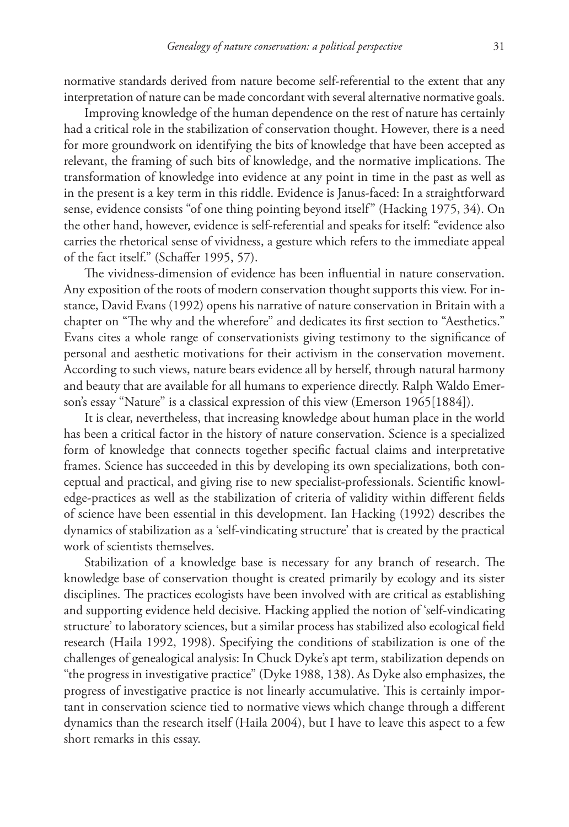normative standards derived from nature become self-referential to the extent that any interpretation of nature can be made concordant with several alternative normative goals.

Improving knowledge of the human dependence on the rest of nature has certainly had a critical role in the stabilization of conservation thought. However, there is a need for more groundwork on identifying the bits of knowledge that have been accepted as relevant, the framing of such bits of knowledge, and the normative implications. The transformation of knowledge into evidence at any point in time in the past as well as in the present is a key term in this riddle. Evidence is Janus-faced: In a straightforward sense, evidence consists "of one thing pointing beyond itself" (Hacking 1975, 34). On the other hand, however, evidence is self-referential and speaks for itself: "evidence also carries the rhetorical sense of vividness, a gesture which refers to the immediate appeal of the fact itself." (Schaffer 1995, 57).

The vividness-dimension of evidence has been influential in nature conservation. Any exposition of the roots of modern conservation thought supports this view. For instance, David Evans (1992) opens his narrative of nature conservation in Britain with a chapter on "The why and the wherefore" and dedicates its first section to "Aesthetics." Evans cites a whole range of conservationists giving testimony to the significance of personal and aesthetic motivations for their activism in the conservation movement. According to such views, nature bears evidence all by herself, through natural harmony and beauty that are available for all humans to experience directly. Ralph Waldo Emerson's essay "Nature" is a classical expression of this view (Emerson 1965[1884]).

It is clear, nevertheless, that increasing knowledge about human place in the world has been a critical factor in the history of nature conservation. Science is a specialized form of knowledge that connects together specific factual claims and interpretative frames. Science has succeeded in this by developing its own specializations, both conceptual and practical, and giving rise to new specialist-professionals. Scientific knowledge-practices as well as the stabilization of criteria of validity within different fields of science have been essential in this development. Ian Hacking (1992) describes the dynamics of stabilization as a 'self-vindicating structure' that is created by the practical work of scientists themselves.

Stabilization of a knowledge base is necessary for any branch of research. The knowledge base of conservation thought is created primarily by ecology and its sister disciplines. The practices ecologists have been involved with are critical as establishing and supporting evidence held decisive. Hacking applied the notion of 'self-vindicating structure' to laboratory sciences, but a similar process has stabilized also ecological field research (Haila 1992, 1998). Specifying the conditions of stabilization is one of the challenges of genealogical analysis: In Chuck Dyke's apt term, stabilization depends on "the progress in investigative practice" (Dyke 1988, 138). As Dyke also emphasizes, the progress of investigative practice is not linearly accumulative. This is certainly important in conservation science tied to normative views which change through a different dynamics than the research itself (Haila 2004), but I have to leave this aspect to a few short remarks in this essay.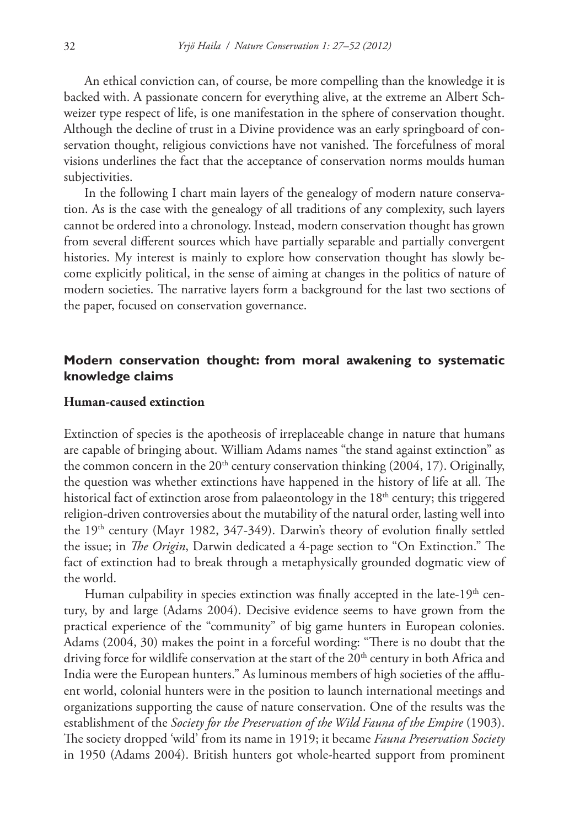An ethical conviction can, of course, be more compelling than the knowledge it is backed with. A passionate concern for everything alive, at the extreme an Albert Schweizer type respect of life, is one manifestation in the sphere of conservation thought. Although the decline of trust in a Divine providence was an early springboard of conservation thought, religious convictions have not vanished. The forcefulness of moral visions underlines the fact that the acceptance of conservation norms moulds human subjectivities.

In the following I chart main layers of the genealogy of modern nature conservation. As is the case with the genealogy of all traditions of any complexity, such layers cannot be ordered into a chronology. Instead, modern conservation thought has grown from several different sources which have partially separable and partially convergent histories. My interest is mainly to explore how conservation thought has slowly become explicitly political, in the sense of aiming at changes in the politics of nature of modern societies. The narrative layers form a background for the last two sections of the paper, focused on conservation governance.

## **Modern conservation thought: from moral awakening to systematic knowledge claims**

#### **Human-caused extinction**

Extinction of species is the apotheosis of irreplaceable change in nature that humans are capable of bringing about. William Adams names "the stand against extinction" as the common concern in the  $20<sup>th</sup>$  century conservation thinking (2004, 17). Originally, the question was whether extinctions have happened in the history of life at all. The historical fact of extinction arose from palaeontology in the  $18<sup>th</sup>$  century; this triggered religion-driven controversies about the mutability of the natural order, lasting well into the 19<sup>th</sup> century (Mayr 1982, 347-349). Darwin's theory of evolution finally settled the issue; in *The Origin*, Darwin dedicated a 4-page section to "On Extinction." The fact of extinction had to break through a metaphysically grounded dogmatic view of the world.

Human culpability in species extinction was finally accepted in the late-19<sup>th</sup> century, by and large (Adams 2004). Decisive evidence seems to have grown from the practical experience of the "community" of big game hunters in European colonies. Adams (2004, 30) makes the point in a forceful wording: "There is no doubt that the driving force for wildlife conservation at the start of the  $20<sup>th</sup>$  century in both Africa and India were the European hunters." As luminous members of high societies of the affluent world, colonial hunters were in the position to launch international meetings and organizations supporting the cause of nature conservation. One of the results was the establishment of the *Society for the Preservation of the Wild Fauna of the Empire* (1903). The society dropped 'wild' from its name in 1919; it became *Fauna Preservation Society* in 1950 (Adams 2004). British hunters got whole-hearted support from prominent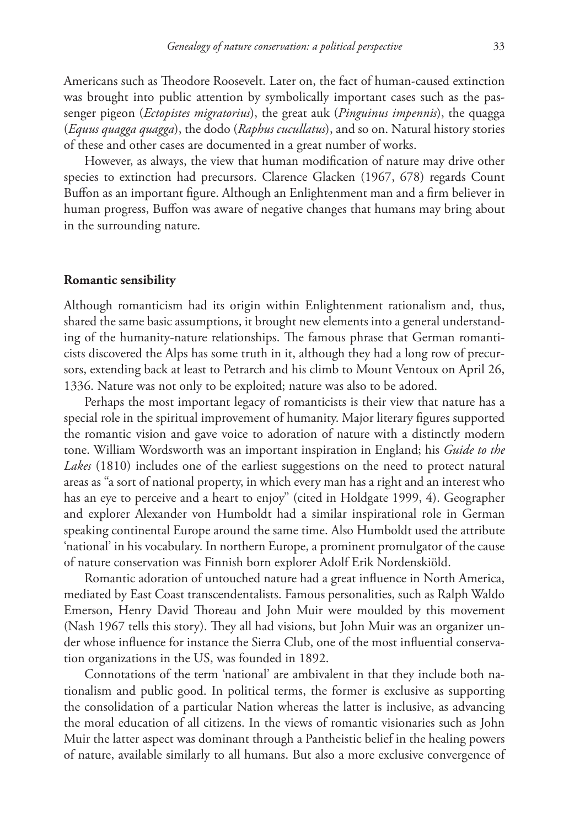Americans such as Theodore Roosevelt. Later on, the fact of human-caused extinction was brought into public attention by symbolically important cases such as the passenger pigeon (*Ectopistes migratorius*), the great auk (*Pinguinus impennis*), the quagga (*Equus quagga quagga*), the dodo (*Raphus cucullatus*), and so on. Natural history stories of these and other cases are documented in a great number of works.

However, as always, the view that human modification of nature may drive other species to extinction had precursors. Clarence Glacken (1967, 678) regards Count Buffon as an important figure. Although an Enlightenment man and a firm believer in human progress, Buffon was aware of negative changes that humans may bring about in the surrounding nature.

#### **Romantic sensibility**

Although romanticism had its origin within Enlightenment rationalism and, thus, shared the same basic assumptions, it brought new elements into a general understanding of the humanity-nature relationships. The famous phrase that German romanticists discovered the Alps has some truth in it, although they had a long row of precursors, extending back at least to Petrarch and his climb to Mount Ventoux on April 26, 1336. Nature was not only to be exploited; nature was also to be adored.

Perhaps the most important legacy of romanticists is their view that nature has a special role in the spiritual improvement of humanity. Major literary figures supported the romantic vision and gave voice to adoration of nature with a distinctly modern tone. William Wordsworth was an important inspiration in England; his *Guide to the Lakes* (1810) includes one of the earliest suggestions on the need to protect natural areas as "a sort of national property, in which every man has a right and an interest who has an eye to perceive and a heart to enjoy" (cited in Holdgate 1999, 4). Geographer and explorer Alexander von Humboldt had a similar inspirational role in German speaking continental Europe around the same time. Also Humboldt used the attribute 'national' in his vocabulary. In northern Europe, a prominent promulgator of the cause of nature conservation was Finnish born explorer Adolf Erik Nordenskiöld.

Romantic adoration of untouched nature had a great influence in North America, mediated by East Coast transcendentalists. Famous personalities, such as Ralph Waldo Emerson, Henry David Thoreau and John Muir were moulded by this movement (Nash 1967 tells this story). They all had visions, but John Muir was an organizer under whose influence for instance the Sierra Club, one of the most influential conservation organizations in the US, was founded in 1892.

Connotations of the term 'national' are ambivalent in that they include both nationalism and public good. In political terms, the former is exclusive as supporting the consolidation of a particular Nation whereas the latter is inclusive, as advancing the moral education of all citizens. In the views of romantic visionaries such as John Muir the latter aspect was dominant through a Pantheistic belief in the healing powers of nature, available similarly to all humans. But also a more exclusive convergence of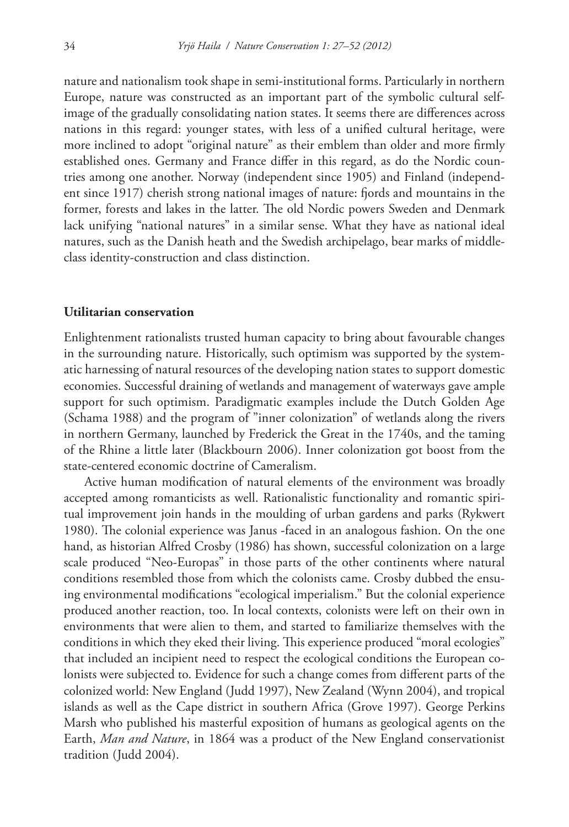nature and nationalism took shape in semi-institutional forms. Particularly in northern Europe, nature was constructed as an important part of the symbolic cultural selfimage of the gradually consolidating nation states. It seems there are differences across nations in this regard: younger states, with less of a unified cultural heritage, were more inclined to adopt "original nature" as their emblem than older and more firmly established ones. Germany and France differ in this regard, as do the Nordic countries among one another. Norway (independent since 1905) and Finland (independent since 1917) cherish strong national images of nature: fjords and mountains in the former, forests and lakes in the latter. The old Nordic powers Sweden and Denmark lack unifying "national natures" in a similar sense. What they have as national ideal natures, such as the Danish heath and the Swedish archipelago, bear marks of middleclass identity-construction and class distinction.

#### **Utilitarian conservation**

Enlightenment rationalists trusted human capacity to bring about favourable changes in the surrounding nature. Historically, such optimism was supported by the systematic harnessing of natural resources of the developing nation states to support domestic economies. Successful draining of wetlands and management of waterways gave ample support for such optimism. Paradigmatic examples include the Dutch Golden Age (Schama 1988) and the program of "inner colonization" of wetlands along the rivers in northern Germany, launched by Frederick the Great in the 1740s, and the taming of the Rhine a little later (Blackbourn 2006). Inner colonization got boost from the state-centered economic doctrine of Cameralism.

Active human modification of natural elements of the environment was broadly accepted among romanticists as well. Rationalistic functionality and romantic spiritual improvement join hands in the moulding of urban gardens and parks (Rykwert 1980). The colonial experience was Janus -faced in an analogous fashion. On the one hand, as historian Alfred Crosby (1986) has shown, successful colonization on a large scale produced "Neo-Europas" in those parts of the other continents where natural conditions resembled those from which the colonists came. Crosby dubbed the ensuing environmental modifications "ecological imperialism." But the colonial experience produced another reaction, too. In local contexts, colonists were left on their own in environments that were alien to them, and started to familiarize themselves with the conditions in which they eked their living. This experience produced "moral ecologies" that included an incipient need to respect the ecological conditions the European colonists were subjected to. Evidence for such a change comes from different parts of the colonized world: New England (Judd 1997), New Zealand (Wynn 2004), and tropical islands as well as the Cape district in southern Africa (Grove 1997). George Perkins Marsh who published his masterful exposition of humans as geological agents on the Earth, *Man and Nature*, in 1864 was a product of the New England conservationist tradition (Judd 2004).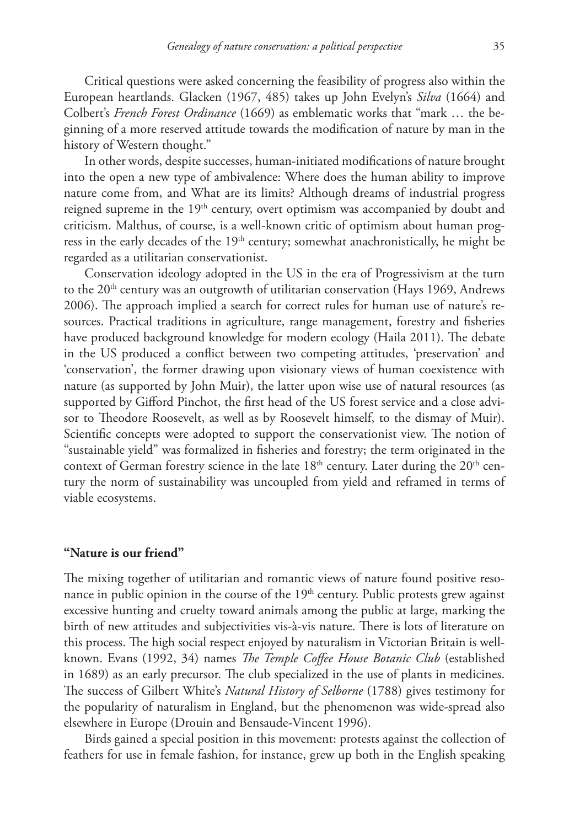Critical questions were asked concerning the feasibility of progress also within the European heartlands. Glacken (1967, 485) takes up John Evelyn's *Silva* (1664) and Colbert's *French Forest Ordinance* (1669) as emblematic works that "mark … the beginning of a more reserved attitude towards the modification of nature by man in the history of Western thought."

In other words, despite successes, human-initiated modifications of nature brought into the open a new type of ambivalence: Where does the human ability to improve nature come from, and What are its limits? Although dreams of industrial progress reigned supreme in the 19<sup>th</sup> century, overt optimism was accompanied by doubt and criticism. Malthus, of course, is a well-known critic of optimism about human progress in the early decades of the  $19<sup>th</sup>$  century; somewhat anachronistically, he might be regarded as a utilitarian conservationist.

Conservation ideology adopted in the US in the era of Progressivism at the turn to the 20<sup>th</sup> century was an outgrowth of utilitarian conservation (Hays 1969, Andrews 2006). The approach implied a search for correct rules for human use of nature's resources. Practical traditions in agriculture, range management, forestry and fisheries have produced background knowledge for modern ecology (Haila 2011). The debate in the US produced a conflict between two competing attitudes, 'preservation' and 'conservation', the former drawing upon visionary views of human coexistence with nature (as supported by John Muir), the latter upon wise use of natural resources (as supported by Gifford Pinchot, the first head of the US forest service and a close advisor to Theodore Roosevelt, as well as by Roosevelt himself, to the dismay of Muir). Scientific concepts were adopted to support the conservationist view. The notion of "sustainable yield" was formalized in fisheries and forestry; the term originated in the context of German forestry science in the late  $18<sup>th</sup>$  century. Later during the  $20<sup>th</sup>$  century the norm of sustainability was uncoupled from yield and reframed in terms of viable ecosystems.

#### **"Nature is our friend"**

The mixing together of utilitarian and romantic views of nature found positive resonance in public opinion in the course of the 19<sup>th</sup> century. Public protests grew against excessive hunting and cruelty toward animals among the public at large, marking the birth of new attitudes and subjectivities vis-à-vis nature. There is lots of literature on this process. The high social respect enjoyed by naturalism in Victorian Britain is wellknown. Evans (1992, 34) names *The Temple Coffee House Botanic Club* (established in 1689) as an early precursor. The club specialized in the use of plants in medicines. The success of Gilbert White's *Natural History of Selborne* (1788) gives testimony for the popularity of naturalism in England, but the phenomenon was wide-spread also elsewhere in Europe (Drouin and Bensaude-Vincent 1996).

Birds gained a special position in this movement: protests against the collection of feathers for use in female fashion, for instance, grew up both in the English speaking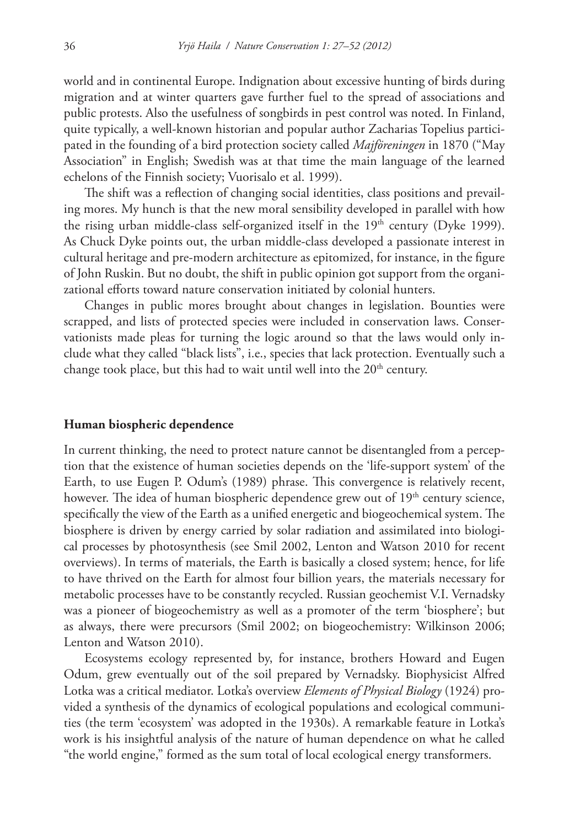world and in continental Europe. Indignation about excessive hunting of birds during migration and at winter quarters gave further fuel to the spread of associations and public protests. Also the usefulness of songbirds in pest control was noted. In Finland, quite typically, a well-known historian and popular author Zacharias Topelius participated in the founding of a bird protection society called *Majföreningen* in 1870 ("May Association" in English; Swedish was at that time the main language of the learned echelons of the Finnish society; Vuorisalo et al. 1999).

The shift was a reflection of changing social identities, class positions and prevailing mores. My hunch is that the new moral sensibility developed in parallel with how the rising urban middle-class self-organized itself in the 19<sup>th</sup> century (Dyke 1999). As Chuck Dyke points out, the urban middle-class developed a passionate interest in cultural heritage and pre-modern architecture as epitomized, for instance, in the figure of John Ruskin. But no doubt, the shift in public opinion got support from the organizational efforts toward nature conservation initiated by colonial hunters.

Changes in public mores brought about changes in legislation. Bounties were scrapped, and lists of protected species were included in conservation laws. Conservationists made pleas for turning the logic around so that the laws would only include what they called "black lists", i.e., species that lack protection. Eventually such a change took place, but this had to wait until well into the  $20<sup>th</sup>$  century.

## **Human biospheric dependence**

In current thinking, the need to protect nature cannot be disentangled from a perception that the existence of human societies depends on the 'life-support system' of the Earth, to use Eugen P. Odum's (1989) phrase. This convergence is relatively recent, however. The idea of human biospheric dependence grew out of  $19<sup>th</sup>$  century science, specifically the view of the Earth as a unified energetic and biogeochemical system. The biosphere is driven by energy carried by solar radiation and assimilated into biological processes by photosynthesis (see Smil 2002, Lenton and Watson 2010 for recent overviews). In terms of materials, the Earth is basically a closed system; hence, for life to have thrived on the Earth for almost four billion years, the materials necessary for metabolic processes have to be constantly recycled. Russian geochemist V.I. Vernadsky was a pioneer of biogeochemistry as well as a promoter of the term 'biosphere'; but as always, there were precursors (Smil 2002; on biogeochemistry: Wilkinson 2006; Lenton and Watson 2010).

Ecosystems ecology represented by, for instance, brothers Howard and Eugen Odum, grew eventually out of the soil prepared by Vernadsky. Biophysicist Alfred Lotka was a critical mediator. Lotka's overview *Elements of Physical Biology* (1924) provided a synthesis of the dynamics of ecological populations and ecological communities (the term 'ecosystem' was adopted in the 1930s). A remarkable feature in Lotka's work is his insightful analysis of the nature of human dependence on what he called "the world engine," formed as the sum total of local ecological energy transformers.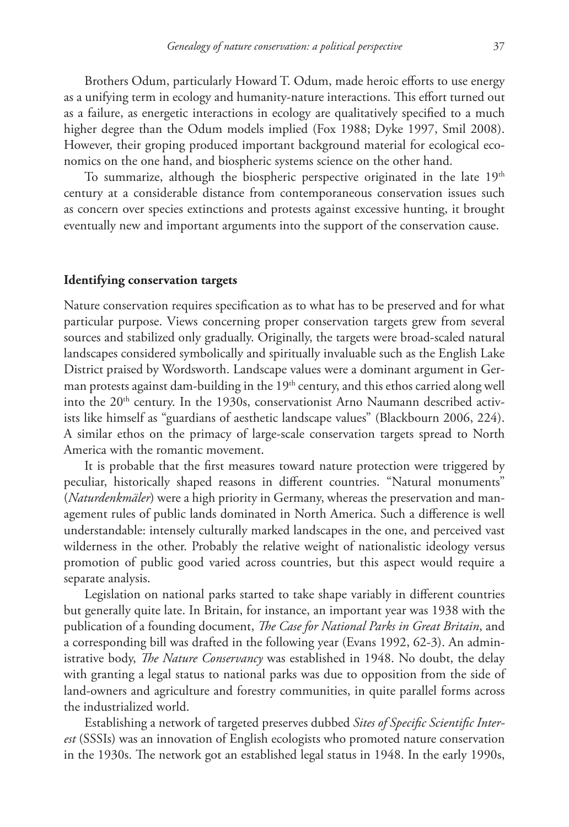Brothers Odum, particularly Howard T. Odum, made heroic efforts to use energy as a unifying term in ecology and humanity-nature interactions. This effort turned out as a failure, as energetic interactions in ecology are qualitatively specified to a much higher degree than the Odum models implied (Fox 1988; Dyke 1997, Smil 2008). However, their groping produced important background material for ecological economics on the one hand, and biospheric systems science on the other hand.

To summarize, although the biospheric perspective originated in the late  $19<sup>th</sup>$ century at a considerable distance from contemporaneous conservation issues such as concern over species extinctions and protests against excessive hunting, it brought eventually new and important arguments into the support of the conservation cause.

#### **Identifying conservation targets**

Nature conservation requires specification as to what has to be preserved and for what particular purpose. Views concerning proper conservation targets grew from several sources and stabilized only gradually. Originally, the targets were broad-scaled natural landscapes considered symbolically and spiritually invaluable such as the English Lake District praised by Wordsworth. Landscape values were a dominant argument in German protests against dam-building in the 19<sup>th</sup> century, and this ethos carried along well into the  $20<sup>th</sup>$  century. In the 1930s, conservationist Arno Naumann described activists like himself as "guardians of aesthetic landscape values" (Blackbourn 2006, 224). A similar ethos on the primacy of large-scale conservation targets spread to North America with the romantic movement.

It is probable that the first measures toward nature protection were triggered by peculiar, historically shaped reasons in different countries. "Natural monuments" (*Naturdenkmäler*) were a high priority in Germany, whereas the preservation and management rules of public lands dominated in North America. Such a difference is well understandable: intensely culturally marked landscapes in the one, and perceived vast wilderness in the other. Probably the relative weight of nationalistic ideology versus promotion of public good varied across countries, but this aspect would require a separate analysis.

Legislation on national parks started to take shape variably in different countries but generally quite late. In Britain, for instance, an important year was 1938 with the publication of a founding document, *The Case for National Parks in Great Britain*, and a corresponding bill was drafted in the following year (Evans 1992, 62-3). An administrative body, *The Nature Conservancy* was established in 1948. No doubt, the delay with granting a legal status to national parks was due to opposition from the side of land-owners and agriculture and forestry communities, in quite parallel forms across the industrialized world.

Establishing a network of targeted preserves dubbed *Sites of Specific Scientific Interest* (SSSIs) was an innovation of English ecologists who promoted nature conservation in the 1930s. The network got an established legal status in 1948. In the early 1990s,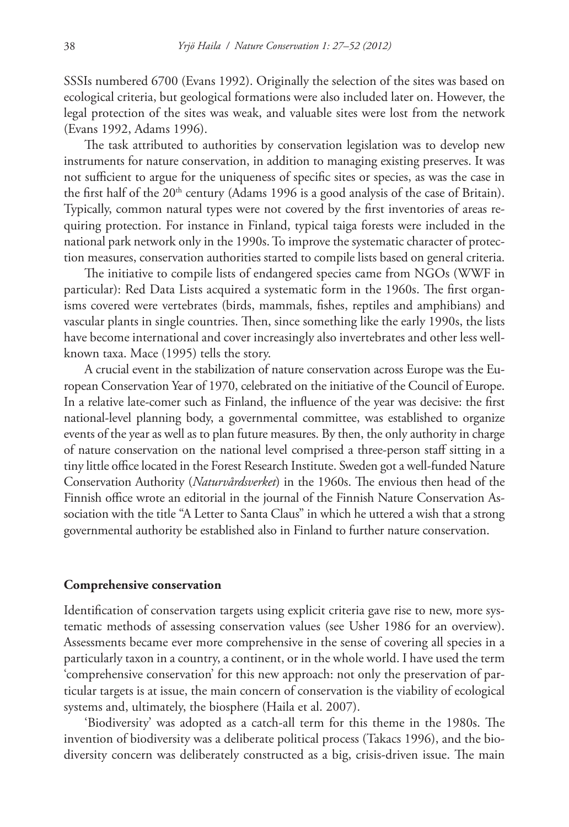SSSIs numbered 6700 (Evans 1992). Originally the selection of the sites was based on ecological criteria, but geological formations were also included later on. However, the legal protection of the sites was weak, and valuable sites were lost from the network (Evans 1992, Adams 1996).

The task attributed to authorities by conservation legislation was to develop new instruments for nature conservation, in addition to managing existing preserves. It was not sufficient to argue for the uniqueness of specific sites or species, as was the case in the first half of the  $20<sup>th</sup>$  century (Adams 1996 is a good analysis of the case of Britain). Typically, common natural types were not covered by the first inventories of areas requiring protection. For instance in Finland, typical taiga forests were included in the national park network only in the 1990s. To improve the systematic character of protection measures, conservation authorities started to compile lists based on general criteria.

The initiative to compile lists of endangered species came from NGOs (WWF in particular): Red Data Lists acquired a systematic form in the 1960s. The first organisms covered were vertebrates (birds, mammals, fishes, reptiles and amphibians) and vascular plants in single countries. Then, since something like the early 1990s, the lists have become international and cover increasingly also invertebrates and other less wellknown taxa. Mace (1995) tells the story.

A crucial event in the stabilization of nature conservation across Europe was the European Conservation Year of 1970, celebrated on the initiative of the Council of Europe. In a relative late-comer such as Finland, the influence of the year was decisive: the first national-level planning body, a governmental committee, was established to organize events of the year as well as to plan future measures. By then, the only authority in charge of nature conservation on the national level comprised a three-person staff sitting in a tiny little office located in the Forest Research Institute. Sweden got a well-funded Nature Conservation Authority (*Naturvårdsverket*) in the 1960s. The envious then head of the Finnish office wrote an editorial in the journal of the Finnish Nature Conservation Association with the title "A Letter to Santa Claus" in which he uttered a wish that a strong governmental authority be established also in Finland to further nature conservation.

#### **Comprehensive conservation**

Identification of conservation targets using explicit criteria gave rise to new, more systematic methods of assessing conservation values (see Usher 1986 for an overview). Assessments became ever more comprehensive in the sense of covering all species in a particularly taxon in a country, a continent, or in the whole world. I have used the term 'comprehensive conservation' for this new approach: not only the preservation of particular targets is at issue, the main concern of conservation is the viability of ecological systems and, ultimately, the biosphere (Haila et al. 2007).

'Biodiversity' was adopted as a catch-all term for this theme in the 1980s. The invention of biodiversity was a deliberate political process (Takacs 1996), and the biodiversity concern was deliberately constructed as a big, crisis-driven issue. The main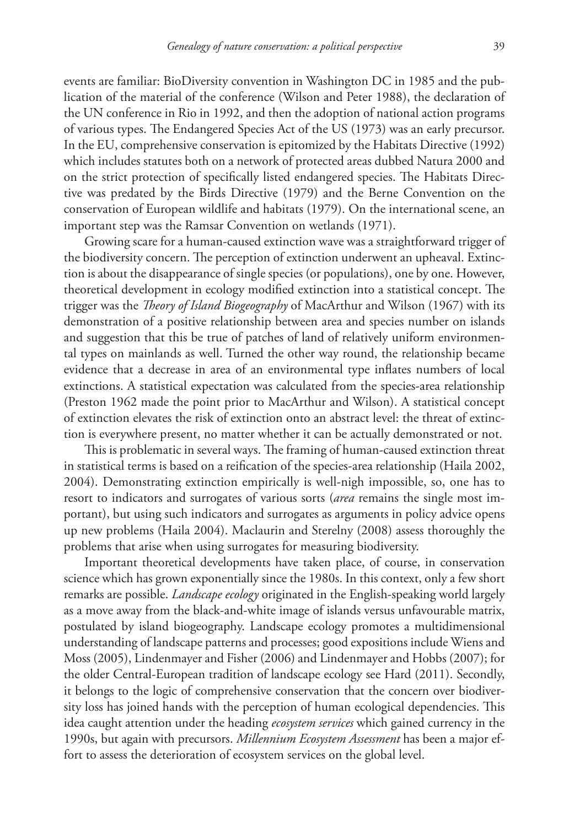events are familiar: BioDiversity convention in Washington DC in 1985 and the publication of the material of the conference (Wilson and Peter 1988), the declaration of the UN conference in Rio in 1992, and then the adoption of national action programs of various types. The Endangered Species Act of the US (1973) was an early precursor. In the EU, comprehensive conservation is epitomized by the Habitats Directive (1992) which includes statutes both on a network of protected areas dubbed Natura 2000 and on the strict protection of specifically listed endangered species. The Habitats Directive was predated by the Birds Directive (1979) and the Berne Convention on the conservation of European wildlife and habitats (1979). On the international scene, an important step was the Ramsar Convention on wetlands (1971).

Growing scare for a human-caused extinction wave was a straightforward trigger of the biodiversity concern. The perception of extinction underwent an upheaval. Extinction is about the disappearance of single species (or populations), one by one. However, theoretical development in ecology modified extinction into a statistical concept. The trigger was the *Theory of Island Biogeography* of MacArthur and Wilson (1967) with its demonstration of a positive relationship between area and species number on islands and suggestion that this be true of patches of land of relatively uniform environmental types on mainlands as well. Turned the other way round, the relationship became evidence that a decrease in area of an environmental type inflates numbers of local extinctions. A statistical expectation was calculated from the species-area relationship (Preston 1962 made the point prior to MacArthur and Wilson). A statistical concept of extinction elevates the risk of extinction onto an abstract level: the threat of extinction is everywhere present, no matter whether it can be actually demonstrated or not.

This is problematic in several ways. The framing of human-caused extinction threat in statistical terms is based on a reification of the species-area relationship (Haila 2002, 2004). Demonstrating extinction empirically is well-nigh impossible, so, one has to resort to indicators and surrogates of various sorts (*area* remains the single most important), but using such indicators and surrogates as arguments in policy advice opens up new problems (Haila 2004). Maclaurin and Sterelny (2008) assess thoroughly the problems that arise when using surrogates for measuring biodiversity.

Important theoretical developments have taken place, of course, in conservation science which has grown exponentially since the 1980s. In this context, only a few short remarks are possible. *Landscape ecology* originated in the English-speaking world largely as a move away from the black-and-white image of islands versus unfavourable matrix, postulated by island biogeography. Landscape ecology promotes a multidimensional understanding of landscape patterns and processes; good expositions include Wiens and Moss (2005), Lindenmayer and Fisher (2006) and Lindenmayer and Hobbs (2007); for the older Central-European tradition of landscape ecology see Hard (2011). Secondly, it belongs to the logic of comprehensive conservation that the concern over biodiversity loss has joined hands with the perception of human ecological dependencies. This idea caught attention under the heading *ecosystem services* which gained currency in the 1990s, but again with precursors. *Millennium Ecosystem Assessment* has been a major effort to assess the deterioration of ecosystem services on the global level.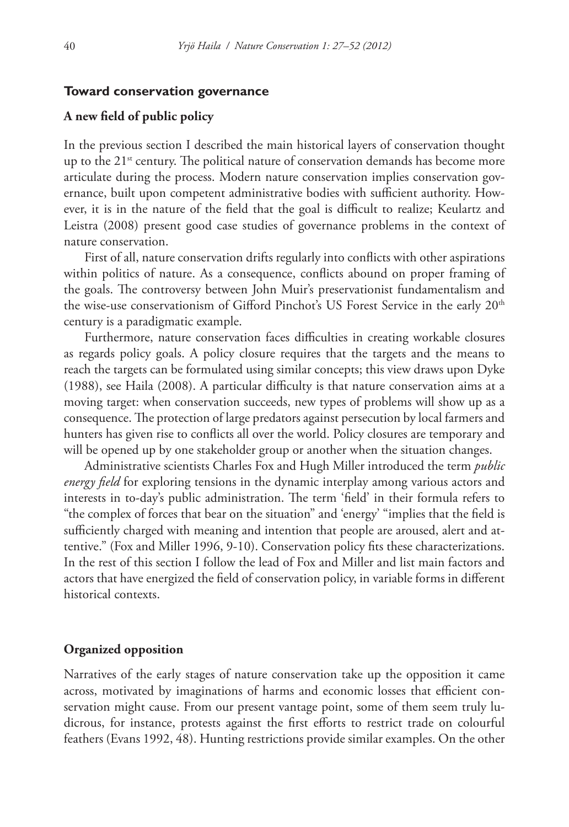#### **Toward conservation governance**

## **A new field of public policy**

In the previous section I described the main historical layers of conservation thought up to the  $21<sup>st</sup>$  century. The political nature of conservation demands has become more articulate during the process. Modern nature conservation implies conservation governance, built upon competent administrative bodies with sufficient authority. However, it is in the nature of the field that the goal is difficult to realize; Keulartz and Leistra (2008) present good case studies of governance problems in the context of nature conservation.

First of all, nature conservation drifts regularly into conflicts with other aspirations within politics of nature. As a consequence, conflicts abound on proper framing of the goals. The controversy between John Muir's preservationist fundamentalism and the wise-use conservationism of Gifford Pinchot's US Forest Service in the early 20<sup>th</sup> century is a paradigmatic example.

Furthermore, nature conservation faces difficulties in creating workable closures as regards policy goals. A policy closure requires that the targets and the means to reach the targets can be formulated using similar concepts; this view draws upon Dyke (1988), see Haila (2008). A particular difficulty is that nature conservation aims at a moving target: when conservation succeeds, new types of problems will show up as a consequence. The protection of large predators against persecution by local farmers and hunters has given rise to conflicts all over the world. Policy closures are temporary and will be opened up by one stakeholder group or another when the situation changes.

Administrative scientists Charles Fox and Hugh Miller introduced the term *public energy field* for exploring tensions in the dynamic interplay among various actors and interests in to-day's public administration. The term 'field' in their formula refers to "the complex of forces that bear on the situation" and 'energy' "implies that the field is sufficiently charged with meaning and intention that people are aroused, alert and attentive." (Fox and Miller 1996, 9-10). Conservation policy fits these characterizations. In the rest of this section I follow the lead of Fox and Miller and list main factors and actors that have energized the field of conservation policy, in variable forms in different historical contexts.

#### **Organized opposition**

Narratives of the early stages of nature conservation take up the opposition it came across, motivated by imaginations of harms and economic losses that efficient conservation might cause. From our present vantage point, some of them seem truly ludicrous, for instance, protests against the first efforts to restrict trade on colourful feathers (Evans 1992, 48). Hunting restrictions provide similar examples. On the other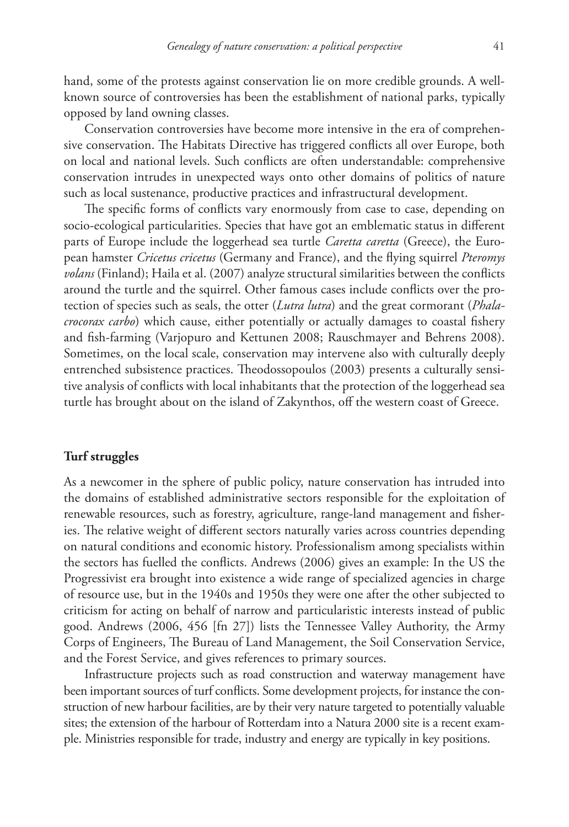hand, some of the protests against conservation lie on more credible grounds. A wellknown source of controversies has been the establishment of national parks, typically opposed by land owning classes.

Conservation controversies have become more intensive in the era of comprehensive conservation. The Habitats Directive has triggered conflicts all over Europe, both on local and national levels. Such conflicts are often understandable: comprehensive conservation intrudes in unexpected ways onto other domains of politics of nature such as local sustenance, productive practices and infrastructural development.

The specific forms of conflicts vary enormously from case to case, depending on socio-ecological particularities. Species that have got an emblematic status in different parts of Europe include the loggerhead sea turtle *Caretta caretta* (Greece), the European hamster *Cricetus cricetus* (Germany and France), and the flying squirrel *Pteromys volans* (Finland); Haila et al. (2007) analyze structural similarities between the conflicts around the turtle and the squirrel. Other famous cases include conflicts over the protection of species such as seals, the otter (*Lutra lutra*) and the great cormorant (*Phalacrocorax carbo*) which cause, either potentially or actually damages to coastal fishery and fish-farming (Varjopuro and Kettunen 2008; Rauschmayer and Behrens 2008). Sometimes, on the local scale, conservation may intervene also with culturally deeply entrenched subsistence practices. Theodossopoulos (2003) presents a culturally sensitive analysis of conflicts with local inhabitants that the protection of the loggerhead sea turtle has brought about on the island of Zakynthos, off the western coast of Greece.

## **Turf struggles**

As a newcomer in the sphere of public policy, nature conservation has intruded into the domains of established administrative sectors responsible for the exploitation of renewable resources, such as forestry, agriculture, range-land management and fisheries. The relative weight of different sectors naturally varies across countries depending on natural conditions and economic history. Professionalism among specialists within the sectors has fuelled the conflicts. Andrews (2006) gives an example: In the US the Progressivist era brought into existence a wide range of specialized agencies in charge of resource use, but in the 1940s and 1950s they were one after the other subjected to criticism for acting on behalf of narrow and particularistic interests instead of public good. Andrews (2006, 456 [fn 27]) lists the Tennessee Valley Authority, the Army Corps of Engineers, The Bureau of Land Management, the Soil Conservation Service, and the Forest Service, and gives references to primary sources.

Infrastructure projects such as road construction and waterway management have been important sources of turf conflicts. Some development projects, for instance the construction of new harbour facilities, are by their very nature targeted to potentially valuable sites; the extension of the harbour of Rotterdam into a Natura 2000 site is a recent example. Ministries responsible for trade, industry and energy are typically in key positions.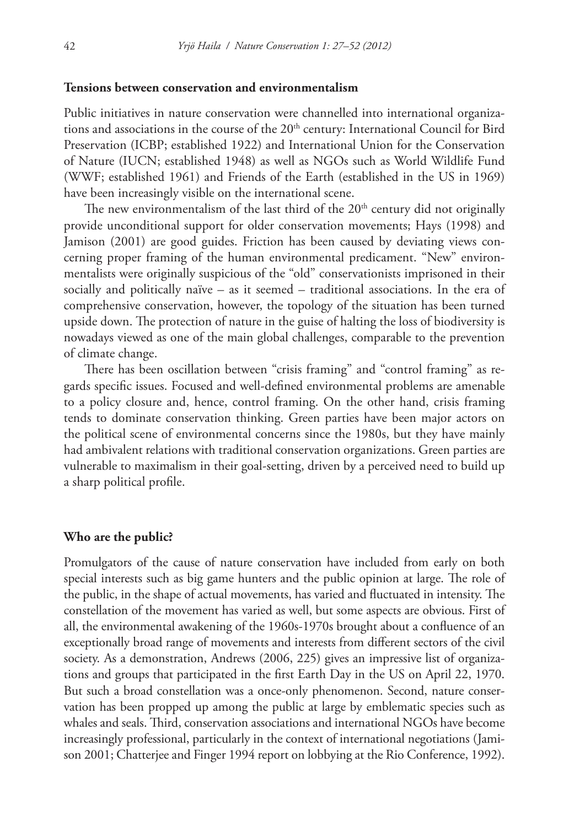### **Tensions between conservation and environmentalism**

Public initiatives in nature conservation were channelled into international organizations and associations in the course of the 20<sup>th</sup> century: International Council for Bird Preservation (ICBP; established 1922) and International Union for the Conservation of Nature (IUCN; established 1948) as well as NGOs such as World Wildlife Fund (WWF; established 1961) and Friends of the Earth (established in the US in 1969) have been increasingly visible on the international scene.

The new environmentalism of the last third of the 20<sup>th</sup> century did not originally provide unconditional support for older conservation movements; Hays (1998) and Jamison (2001) are good guides. Friction has been caused by deviating views concerning proper framing of the human environmental predicament. "New" environmentalists were originally suspicious of the "old" conservationists imprisoned in their socially and politically naïve – as it seemed – traditional associations. In the era of comprehensive conservation, however, the topology of the situation has been turned upside down. The protection of nature in the guise of halting the loss of biodiversity is nowadays viewed as one of the main global challenges, comparable to the prevention of climate change.

There has been oscillation between "crisis framing" and "control framing" as regards specific issues. Focused and well-defined environmental problems are amenable to a policy closure and, hence, control framing. On the other hand, crisis framing tends to dominate conservation thinking. Green parties have been major actors on the political scene of environmental concerns since the 1980s, but they have mainly had ambivalent relations with traditional conservation organizations. Green parties are vulnerable to maximalism in their goal-setting, driven by a perceived need to build up a sharp political profile.

#### **Who are the public?**

Promulgators of the cause of nature conservation have included from early on both special interests such as big game hunters and the public opinion at large. The role of the public, in the shape of actual movements, has varied and fluctuated in intensity. The constellation of the movement has varied as well, but some aspects are obvious. First of all, the environmental awakening of the 1960s-1970s brought about a confluence of an exceptionally broad range of movements and interests from different sectors of the civil society. As a demonstration, Andrews (2006, 225) gives an impressive list of organizations and groups that participated in the first Earth Day in the US on April 22, 1970. But such a broad constellation was a once-only phenomenon. Second, nature conservation has been propped up among the public at large by emblematic species such as whales and seals. Third, conservation associations and international NGOs have become increasingly professional, particularly in the context of international negotiations (Jamison 2001; Chatterjee and Finger 1994 report on lobbying at the Rio Conference, 1992).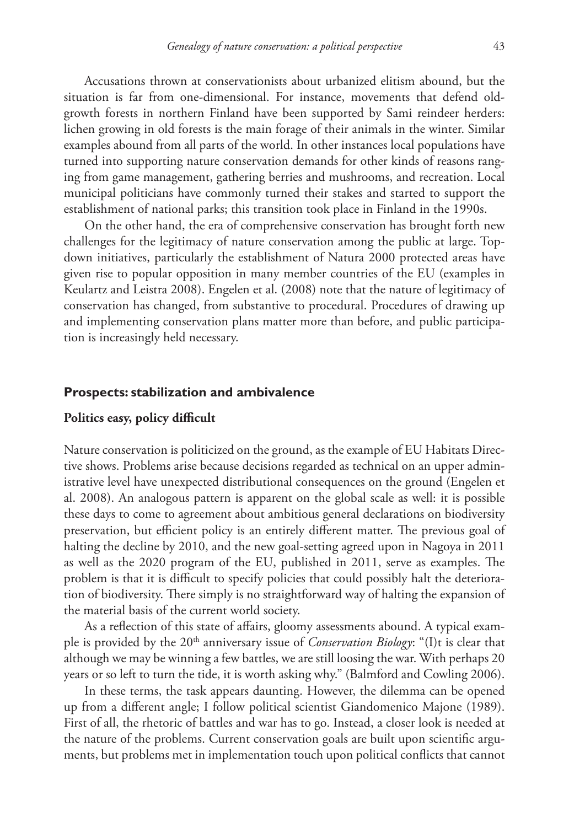Accusations thrown at conservationists about urbanized elitism abound, but the situation is far from one-dimensional. For instance, movements that defend oldgrowth forests in northern Finland have been supported by Sami reindeer herders: lichen growing in old forests is the main forage of their animals in the winter. Similar examples abound from all parts of the world. In other instances local populations have turned into supporting nature conservation demands for other kinds of reasons ranging from game management, gathering berries and mushrooms, and recreation. Local municipal politicians have commonly turned their stakes and started to support the establishment of national parks; this transition took place in Finland in the 1990s.

On the other hand, the era of comprehensive conservation has brought forth new challenges for the legitimacy of nature conservation among the public at large. Topdown initiatives, particularly the establishment of Natura 2000 protected areas have given rise to popular opposition in many member countries of the EU (examples in Keulartz and Leistra 2008). Engelen et al. (2008) note that the nature of legitimacy of conservation has changed, from substantive to procedural. Procedures of drawing up and implementing conservation plans matter more than before, and public participation is increasingly held necessary.

#### **Prospects: stabilization and ambivalence**

## **Politics easy, policy difficult**

Nature conservation is politicized on the ground, as the example of EU Habitats Directive shows. Problems arise because decisions regarded as technical on an upper administrative level have unexpected distributional consequences on the ground (Engelen et al. 2008). An analogous pattern is apparent on the global scale as well: it is possible these days to come to agreement about ambitious general declarations on biodiversity preservation, but efficient policy is an entirely different matter. The previous goal of halting the decline by 2010, and the new goal-setting agreed upon in Nagoya in 2011 as well as the 2020 program of the EU, published in 2011, serve as examples. The problem is that it is difficult to specify policies that could possibly halt the deterioration of biodiversity. There simply is no straightforward way of halting the expansion of the material basis of the current world society.

As a reflection of this state of affairs, gloomy assessments abound. A typical example is provided by the 20th anniversary issue of *Conservation Biology*: "(I)t is clear that although we may be winning a few battles, we are still loosing the war. With perhaps 20 years or so left to turn the tide, it is worth asking why." (Balmford and Cowling 2006).

In these terms, the task appears daunting. However, the dilemma can be opened up from a different angle; I follow political scientist Giandomenico Majone (1989). First of all, the rhetoric of battles and war has to go. Instead, a closer look is needed at the nature of the problems. Current conservation goals are built upon scientific arguments, but problems met in implementation touch upon political conflicts that cannot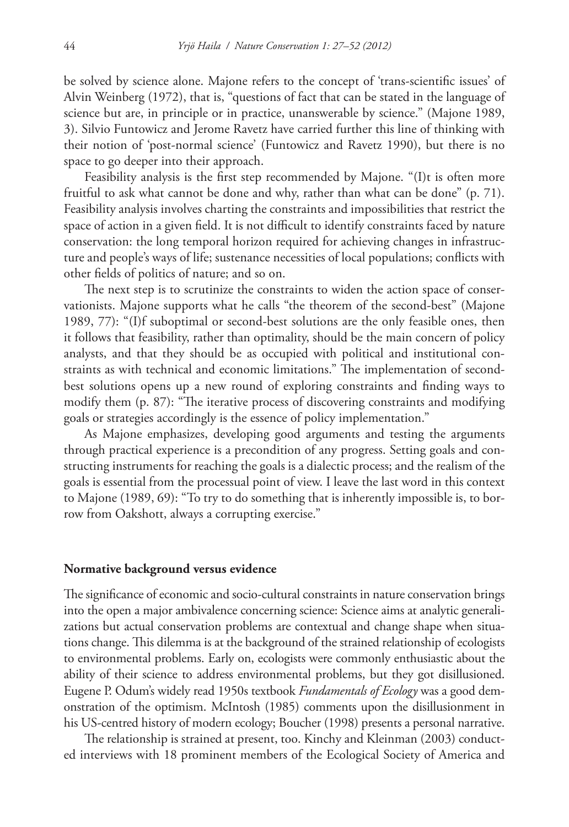be solved by science alone. Majone refers to the concept of 'trans-scientific issues' of Alvin Weinberg (1972), that is, "questions of fact that can be stated in the language of science but are, in principle or in practice, unanswerable by science." (Majone 1989, 3). Silvio Funtowicz and Jerome Ravetz have carried further this line of thinking with their notion of 'post-normal science' (Funtowicz and Ravetz 1990), but there is no space to go deeper into their approach.

Feasibility analysis is the first step recommended by Majone. "(I)t is often more fruitful to ask what cannot be done and why, rather than what can be done" (p. 71). Feasibility analysis involves charting the constraints and impossibilities that restrict the space of action in a given field. It is not difficult to identify constraints faced by nature conservation: the long temporal horizon required for achieving changes in infrastructure and people's ways of life; sustenance necessities of local populations; conflicts with other fields of politics of nature; and so on.

The next step is to scrutinize the constraints to widen the action space of conservationists. Majone supports what he calls "the theorem of the second-best" (Majone 1989, 77): "(I)f suboptimal or second-best solutions are the only feasible ones, then it follows that feasibility, rather than optimality, should be the main concern of policy analysts, and that they should be as occupied with political and institutional constraints as with technical and economic limitations." The implementation of secondbest solutions opens up a new round of exploring constraints and finding ways to modify them (p. 87): "The iterative process of discovering constraints and modifying goals or strategies accordingly is the essence of policy implementation."

As Majone emphasizes, developing good arguments and testing the arguments through practical experience is a precondition of any progress. Setting goals and constructing instruments for reaching the goals is a dialectic process; and the realism of the goals is essential from the processual point of view. I leave the last word in this context to Majone (1989, 69): "To try to do something that is inherently impossible is, to borrow from Oakshott, always a corrupting exercise."

### **Normative background versus evidence**

The significance of economic and socio-cultural constraints in nature conservation brings into the open a major ambivalence concerning science: Science aims at analytic generalizations but actual conservation problems are contextual and change shape when situations change. This dilemma is at the background of the strained relationship of ecologists to environmental problems. Early on, ecologists were commonly enthusiastic about the ability of their science to address environmental problems, but they got disillusioned. Eugene P. Odum's widely read 1950s textbook *Fundamentals of Ecology* was a good demonstration of the optimism. McIntosh (1985) comments upon the disillusionment in his US-centred history of modern ecology; Boucher (1998) presents a personal narrative.

The relationship is strained at present, too. Kinchy and Kleinman (2003) conducted interviews with 18 prominent members of the Ecological Society of America and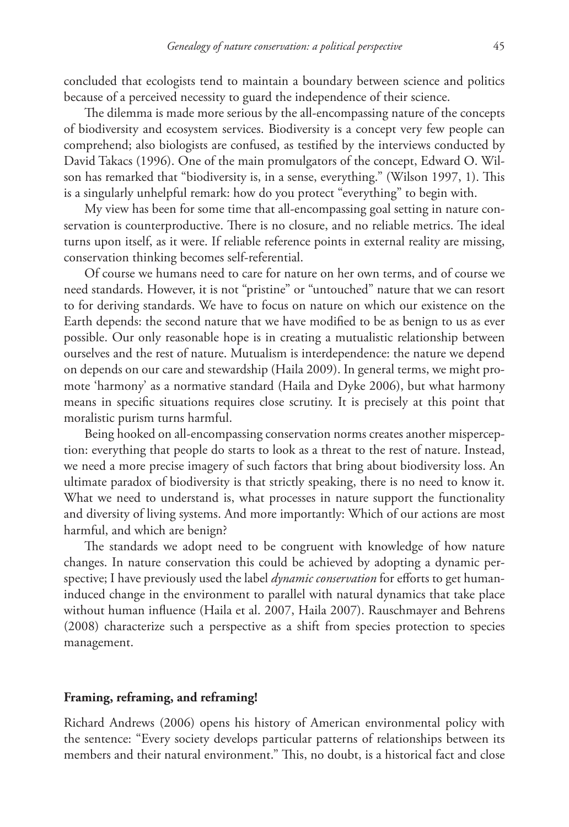concluded that ecologists tend to maintain a boundary between science and politics because of a perceived necessity to guard the independence of their science.

The dilemma is made more serious by the all-encompassing nature of the concepts of biodiversity and ecosystem services. Biodiversity is a concept very few people can comprehend; also biologists are confused, as testified by the interviews conducted by David Takacs (1996). One of the main promulgators of the concept, Edward O. Wilson has remarked that "biodiversity is, in a sense, everything." (Wilson 1997, 1). This is a singularly unhelpful remark: how do you protect "everything" to begin with.

My view has been for some time that all-encompassing goal setting in nature conservation is counterproductive. There is no closure, and no reliable metrics. The ideal turns upon itself, as it were. If reliable reference points in external reality are missing, conservation thinking becomes self-referential.

Of course we humans need to care for nature on her own terms, and of course we need standards. However, it is not "pristine" or "untouched" nature that we can resort to for deriving standards. We have to focus on nature on which our existence on the Earth depends: the second nature that we have modified to be as benign to us as ever possible. Our only reasonable hope is in creating a mutualistic relationship between ourselves and the rest of nature. Mutualism is interdependence: the nature we depend on depends on our care and stewardship (Haila 2009). In general terms, we might promote 'harmony' as a normative standard (Haila and Dyke 2006), but what harmony means in specific situations requires close scrutiny. It is precisely at this point that moralistic purism turns harmful.

Being hooked on all-encompassing conservation norms creates another misperception: everything that people do starts to look as a threat to the rest of nature. Instead, we need a more precise imagery of such factors that bring about biodiversity loss. An ultimate paradox of biodiversity is that strictly speaking, there is no need to know it. What we need to understand is, what processes in nature support the functionality and diversity of living systems. And more importantly: Which of our actions are most harmful, and which are benign?

The standards we adopt need to be congruent with knowledge of how nature changes. In nature conservation this could be achieved by adopting a dynamic perspective; I have previously used the label *dynamic conservation* for efforts to get humaninduced change in the environment to parallel with natural dynamics that take place without human influence (Haila et al. 2007, Haila 2007). Rauschmayer and Behrens (2008) characterize such a perspective as a shift from species protection to species management.

#### **Framing, reframing, and reframing!**

Richard Andrews (2006) opens his history of American environmental policy with the sentence: "Every society develops particular patterns of relationships between its members and their natural environment." This, no doubt, is a historical fact and close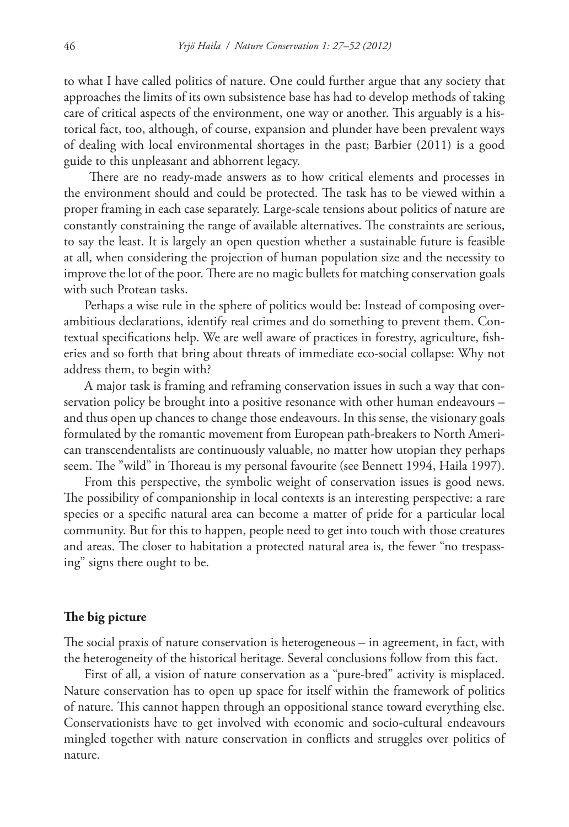to what I have called politics of nature. One could further argue that any society that approaches the limits of its own subsistence base has had to develop methods of taking care of critical aspects of the environment, one way or another. This arguably is a historical fact, too, although, of course, expansion and plunder have been prevalent ways of dealing with local environmental shortages in the past; Barbier (2011) is a good guide to this unpleasant and abhorrent legacy.

 There are no ready-made answers as to how critical elements and processes in the environment should and could be protected. The task has to be viewed within a proper framing in each case separately. Large-scale tensions about politics of nature are constantly constraining the range of available alternatives. The constraints are serious, to say the least. It is largely an open question whether a sustainable future is feasible at all, when considering the projection of human population size and the necessity to improve the lot of the poor. There are no magic bullets for matching conservation goals with such Protean tasks.

Perhaps a wise rule in the sphere of politics would be: Instead of composing overambitious declarations, identify real crimes and do something to prevent them. Contextual specifications help. We are well aware of practices in forestry, agriculture, fisheries and so forth that bring about threats of immediate eco-social collapse: Why not address them, to begin with?

A major task is framing and reframing conservation issues in such a way that conservation policy be brought into a positive resonance with other human endeavours – and thus open up chances to change those endeavours. In this sense, the visionary goals formulated by the romantic movement from European path-breakers to North American transcendentalists are continuously valuable, no matter how utopian they perhaps seem. The "wild" in Thoreau is my personal favourite (see Bennett 1994, Haila 1997).

From this perspective, the symbolic weight of conservation issues is good news. The possibility of companionship in local contexts is an interesting perspective: a rare species or a specific natural area can become a matter of pride for a particular local community. But for this to happen, people need to get into touch with those creatures and areas. The closer to habitation a protected natural area is, the fewer "no trespassing" signs there ought to be.

## **The big picture**

The social praxis of nature conservation is heterogeneous – in agreement, in fact, with the heterogeneity of the historical heritage. Several conclusions follow from this fact.

First of all, a vision of nature conservation as a "pure-bred" activity is misplaced. Nature conservation has to open up space for itself within the framework of politics of nature. This cannot happen through an oppositional stance toward everything else. Conservationists have to get involved with economic and socio-cultural endeavours mingled together with nature conservation in conflicts and struggles over politics of nature.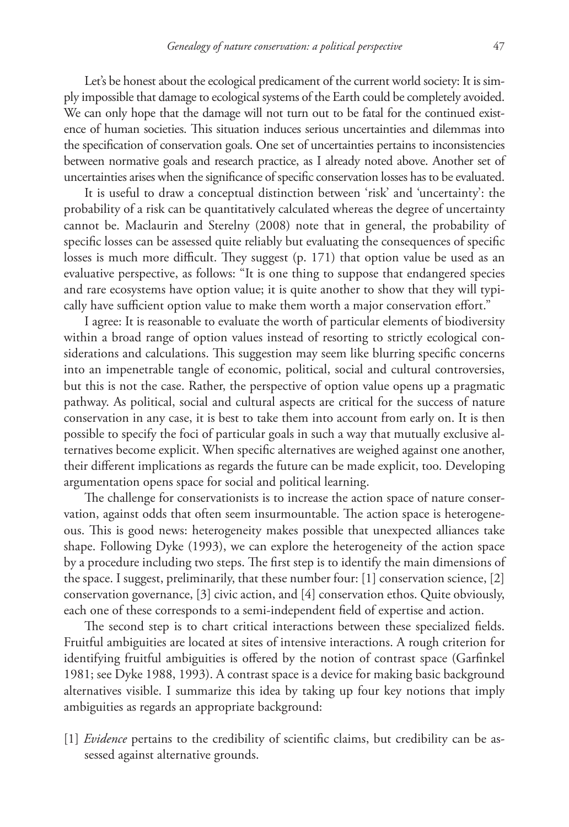Let's be honest about the ecological predicament of the current world society: It is simply impossible that damage to ecological systems of the Earth could be completely avoided. We can only hope that the damage will not turn out to be fatal for the continued existence of human societies. This situation induces serious uncertainties and dilemmas into the specification of conservation goals. One set of uncertainties pertains to inconsistencies between normative goals and research practice, as I already noted above. Another set of uncertainties arises when the significance of specific conservation losses has to be evaluated.

It is useful to draw a conceptual distinction between 'risk' and 'uncertainty': the probability of a risk can be quantitatively calculated whereas the degree of uncertainty cannot be. Maclaurin and Sterelny (2008) note that in general, the probability of specific losses can be assessed quite reliably but evaluating the consequences of specific losses is much more difficult. They suggest (p. 171) that option value be used as an evaluative perspective, as follows: "It is one thing to suppose that endangered species and rare ecosystems have option value; it is quite another to show that they will typically have sufficient option value to make them worth a major conservation effort."

I agree: It is reasonable to evaluate the worth of particular elements of biodiversity within a broad range of option values instead of resorting to strictly ecological considerations and calculations. This suggestion may seem like blurring specific concerns into an impenetrable tangle of economic, political, social and cultural controversies, but this is not the case. Rather, the perspective of option value opens up a pragmatic pathway. As political, social and cultural aspects are critical for the success of nature conservation in any case, it is best to take them into account from early on. It is then possible to specify the foci of particular goals in such a way that mutually exclusive alternatives become explicit. When specific alternatives are weighed against one another, their different implications as regards the future can be made explicit, too. Developing argumentation opens space for social and political learning.

The challenge for conservationists is to increase the action space of nature conservation, against odds that often seem insurmountable. The action space is heterogeneous. This is good news: heterogeneity makes possible that unexpected alliances take shape. Following Dyke (1993), we can explore the heterogeneity of the action space by a procedure including two steps. The first step is to identify the main dimensions of the space. I suggest, preliminarily, that these number four: [1] conservation science, [2] conservation governance, [3] civic action, and [4] conservation ethos. Quite obviously, each one of these corresponds to a semi-independent field of expertise and action.

The second step is to chart critical interactions between these specialized fields. Fruitful ambiguities are located at sites of intensive interactions. A rough criterion for identifying fruitful ambiguities is offered by the notion of contrast space (Garfinkel 1981; see Dyke 1988, 1993). A contrast space is a device for making basic background alternatives visible. I summarize this idea by taking up four key notions that imply ambiguities as regards an appropriate background:

[1] *Evidence* pertains to the credibility of scientific claims, but credibility can be assessed against alternative grounds.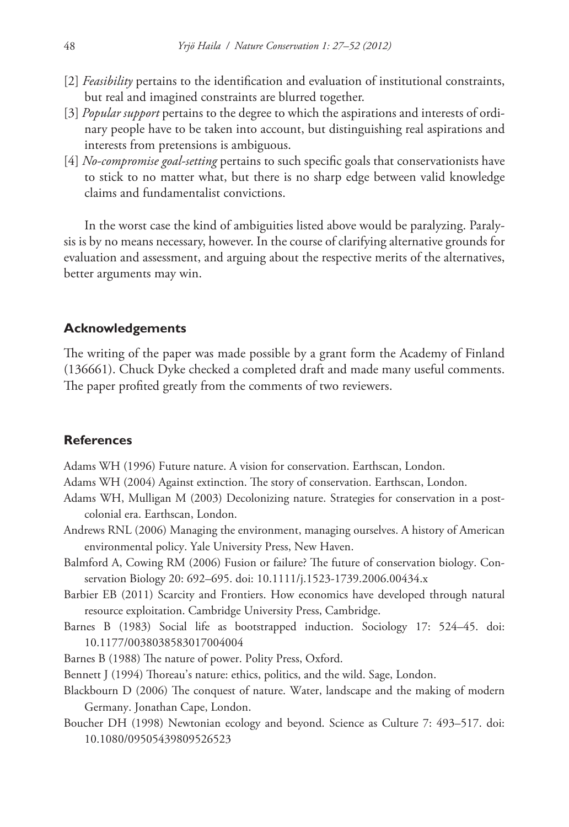- [2] *Feasibility* pertains to the identification and evaluation of institutional constraints, but real and imagined constraints are blurred together.
- [3] *Popular support* pertains to the degree to which the aspirations and interests of ordinary people have to be taken into account, but distinguishing real aspirations and interests from pretensions is ambiguous.
- [4] *No-compromise goal-setting* pertains to such specific goals that conservationists have to stick to no matter what, but there is no sharp edge between valid knowledge claims and fundamentalist convictions.

In the worst case the kind of ambiguities listed above would be paralyzing. Paralysis is by no means necessary, however. In the course of clarifying alternative grounds for evaluation and assessment, and arguing about the respective merits of the alternatives, better arguments may win.

## **Acknowledgements**

The writing of the paper was made possible by a grant form the Academy of Finland (136661). Chuck Dyke checked a completed draft and made many useful comments. The paper profited greatly from the comments of two reviewers.

## **References**

Adams WH (1996) Future nature. A vision for conservation. Earthscan, London.

Adams WH (2004) Against extinction. The story of conservation. Earthscan, London.

- Adams WH, Mulligan M (2003) Decolonizing nature. Strategies for conservation in a postcolonial era. Earthscan, London.
- Andrews RNL (2006) Managing the environment, managing ourselves. A history of American environmental policy. Yale University Press, New Haven.
- Balmford A, Cowing RM (2006) Fusion or failure? The future of conservation biology. Conservation Biology 20: 692–695. [doi: 10.1111/j.1523-1739.2006.00434.x](http://dx.doi.org/10.1111/j.1523-1739.2006.00434.x)
- Barbier EB (2011) Scarcity and Frontiers. How economics have developed through natural resource exploitation. Cambridge University Press, Cambridge.
- Barnes B (1983) Social life as bootstrapped induction. Sociology 17: 524–45. [doi:](http://dx.doi.org/10.1177/0038038583017004004) [10.1177/0038038583017004004](http://dx.doi.org/10.1177/0038038583017004004)
- Barnes B (1988) The nature of power. Polity Press, Oxford.
- Bennett J (1994) Thoreau's nature: ethics, politics, and the wild. Sage, London.
- Blackbourn D (2006) The conquest of nature. Water, landscape and the making of modern Germany. Jonathan Cape, London.
- Boucher DH (1998) Newtonian ecology and beyond. Science as Culture 7: 493–517. [doi:](http://dx.doi.org/10.1080/09505439809526523) [10.1080/09505439809526523](http://dx.doi.org/10.1080/09505439809526523)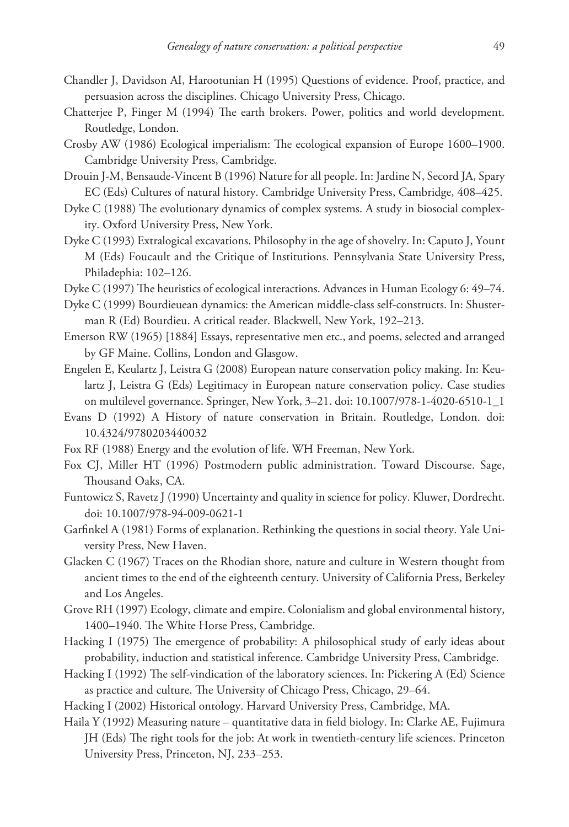- Chandler J, Davidson AI, Harootunian H (1995) Questions of evidence. Proof, practice, and persuasion across the disciplines. Chicago University Press, Chicago.
- Chatterjee P, Finger M (1994) The earth brokers. Power, politics and world development. Routledge, London.
- Crosby AW (1986) Ecological imperialism: The ecological expansion of Europe 1600–1900. Cambridge University Press, Cambridge.
- Drouin J-M, Bensaude-Vincent B (1996) Nature for all people. In: Jardine N, Secord JA, Spary EC (Eds) Cultures of natural history. Cambridge University Press, Cambridge, 408–425.
- Dyke C (1988) The evolutionary dynamics of complex systems. A study in biosocial complexity. Oxford University Press, New York.
- Dyke C (1993) Extralogical excavations. Philosophy in the age of shovelry. In: Caputo J, Yount M (Eds) Foucault and the Critique of Institutions. Pennsylvania State University Press, Philadephia: 102–126.
- Dyke C (1997) The heuristics of ecological interactions. Advances in Human Ecology 6: 49–74.
- Dyke C (1999) Bourdieuean dynamics: the American middle-class self-constructs. In: Shusterman R (Ed) Bourdieu. A critical reader. Blackwell, New York, 192–213.
- Emerson RW (1965) [1884] Essays, representative men etc., and poems, selected and arranged by GF Maine. Collins, London and Glasgow.
- Engelen E, Keulartz J, Leistra G (2008) European nature conservation policy making. In: Keulartz J, Leistra G (Eds) Legitimacy in European nature conservation policy. Case studies on multilevel governance. Springer, New York, 3–21. [doi: 10.1007/978-1-4020-6510-1\\_1](http://dx.doi.org/10.1007/978-1-4020-6510-1_1)
- Evans D (1992) A History of nature conservation in Britain. Routledge, London. [doi:](http://dx.doi.org/10.4324/9780203440032) [10.4324/9780203440032](http://dx.doi.org/10.4324/9780203440032)
- Fox RF (1988) Energy and the evolution of life. WH Freeman, New York.
- Fox CJ, Miller HT (1996) Postmodern public administration. Toward Discourse. Sage, Thousand Oaks, CA.
- Funtowicz S, Ravetz J (1990) Uncertainty and quality in science for policy. Kluwer, Dordrecht. [doi: 10.1007/978-94-009-0621-1](http://dx.doi.org/10.1007/978-94-009-0621-1)
- Garfinkel A (1981) Forms of explanation. Rethinking the questions in social theory. Yale University Press, New Haven.
- Glacken C (1967) Traces on the Rhodian shore, nature and culture in Western thought from ancient times to the end of the eighteenth century. University of California Press, Berkeley and Los Angeles.
- Grove RH (1997) Ecology, climate and empire. Colonialism and global environmental history, 1400–1940. The White Horse Press, Cambridge.
- Hacking I (1975) The emergence of probability: A philosophical study of early ideas about probability, induction and statistical inference. Cambridge University Press, Cambridge.
- Hacking I (1992) The self-vindication of the laboratory sciences. In: Pickering A (Ed) Science as practice and culture. The University of Chicago Press, Chicago, 29–64.
- Hacking I (2002) Historical ontology. Harvard University Press, Cambridge, MA.
- Haila Y (1992) Measuring nature quantitative data in field biology. In: Clarke AE, Fujimura JH (Eds) The right tools for the job: At work in twentieth-century life sciences. Princeton University Press, Princeton, NJ, 233–253.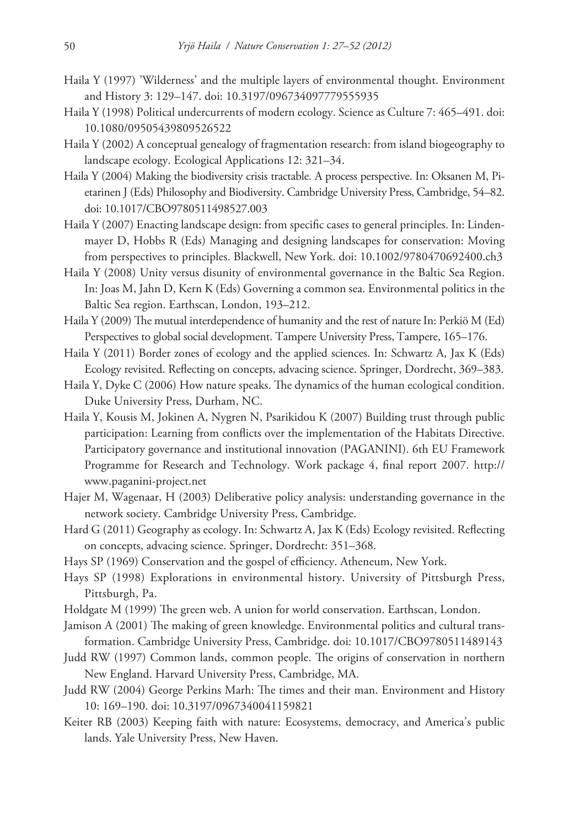- Haila Y (1997) 'Wilderness' and the multiple layers of environmental thought. Environment and History 3: 129–147. [doi: 10.3197/096734097779555935](http://dx.doi.org/10.3197/096734097779555935)
- Haila Y (1998) Political undercurrents of modern ecology. Science as Culture 7: 465–491. [doi:](http://dx.doi.org/10.1080/09505439809526522) [10.1080/09505439809526522](http://dx.doi.org/10.1080/09505439809526522)
- Haila Y (2002) A conceptual genealogy of fragmentation research: from island biogeography to landscape ecology. Ecological Applications 12: 321–34.
- Haila Y (2004) Making the biodiversity crisis tractable. A process perspective. In: Oksanen M, Pietarinen J (Eds) Philosophy and Biodiversity. Cambridge University Press, Cambridge, 54–82. [doi: 10.1017/CBO9780511498527.003](http://dx.doi.org/10.1017/CBO9780511498527.003)
- Haila Y (2007) Enacting landscape design: from specific cases to general principles. In: Lindenmayer D, Hobbs R (Eds) Managing and designing landscapes for conservation: Moving from perspectives to principles. Blackwell, New York. [doi: 10.1002/9780470692400.ch3](http://dx.doi.org/10.1002/9780470692400.ch3)
- Haila Y (2008) Unity versus disunity of environmental governance in the Baltic Sea Region. In: Joas M, Jahn D, Kern K (Eds) Governing a common sea. Environmental politics in the Baltic Sea region. Earthscan, London, 193–212.
- Haila Y (2009) The mutual interdependence of humanity and the rest of nature In: Perkiö M (Ed) Perspectives to global social development. Tampere University Press, Tampere, 165–176.
- Haila Y (2011) Border zones of ecology and the applied sciences. In: Schwartz A, Jax K (Eds) Ecology revisited. Reflecting on concepts, advacing science. Springer, Dordrecht, 369–383.
- Haila Y, Dyke C (2006) How nature speaks. The dynamics of the human ecological condition. Duke University Press, Durham, NC.
- Haila Y, Kousis M, Jokinen A, Nygren N, Psarikidou K (2007) Building trust through public participation: Learning from conflicts over the implementation of the Habitats Directive. Participatory governance and institutional innovation (PAGANINI). 6th EU Framework Programme for Research and Technology. Work package 4, final report 2007. [http://](http://www.paganini-project.net) [www.paganini-project.net](http://www.paganini-project.net)
- Hajer M, Wagenaar, H (2003) Deliberative policy analysis: understanding governance in the network society. Cambridge University Press, Cambridge.
- Hard G (2011) Geography as ecology. In: Schwartz A, Jax K (Eds) Ecology revisited. Reflecting on concepts, advacing science. Springer, Dordrecht: 351–368.
- Hays SP (1969) Conservation and the gospel of efficiency. Atheneum, New York.
- Hays SP (1998) Explorations in environmental history. University of Pittsburgh Press, Pittsburgh, Pa.
- Holdgate M (1999) The green web. A union for world conservation. Earthscan, London.
- Jamison A (2001) The making of green knowledge. Environmental politics and cultural transformation. Cambridge University Press, Cambridge. [doi: 10.1017/CBO9780511489143](http://dx.doi.org/10.1017/CBO9780511489143)
- Judd RW (1997) Common lands, common people. The origins of conservation in northern New England. Harvard University Press, Cambridge, MA.
- Judd RW (2004) George Perkins Marh: The times and their man. Environment and History 10: 169–190. [doi: 10.3197/0967340041159821](http://dx.doi.org/10.3197/0967340041159821)
- Keiter RB (2003) Keeping faith with nature: Ecosystems, democracy, and America's public lands. Yale University Press, New Haven.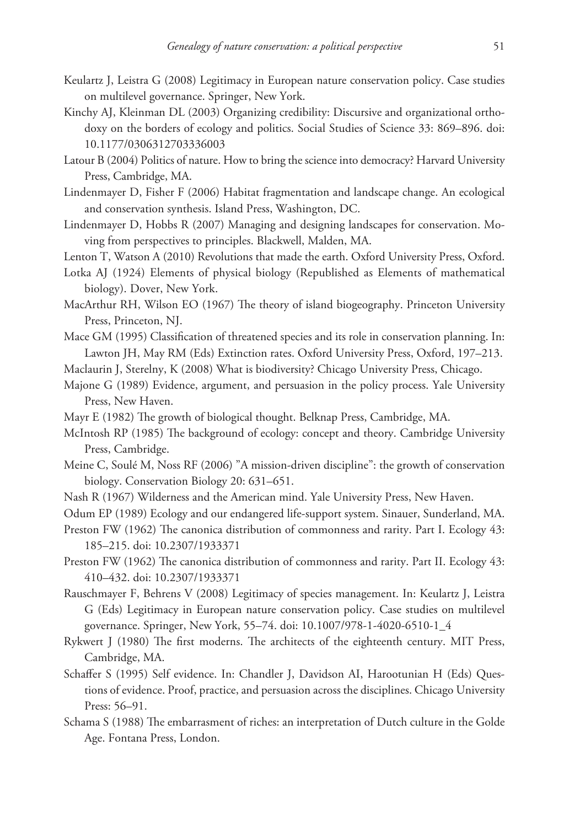- Keulartz J, Leistra G (2008) Legitimacy in European nature conservation policy. Case studies on multilevel governance. Springer, New York.
- Kinchy AJ, Kleinman DL (2003) Organizing credibility: Discursive and organizational orthodoxy on the borders of ecology and politics. Social Studies of Science 33: 869–896. [doi:](http://dx.doi.org/10.1177/0306312703336003) [10.1177/0306312703336003](http://dx.doi.org/10.1177/0306312703336003)
- Latour B (2004) Politics of nature. How to bring the science into democracy? Harvard University Press, Cambridge, MA.
- Lindenmayer D, Fisher F (2006) Habitat fragmentation and landscape change. An ecological and conservation synthesis. Island Press, Washington, DC.
- Lindenmayer D, Hobbs R (2007) Managing and designing landscapes for conservation. Moving from perspectives to principles. Blackwell, Malden, MA.
- Lenton T, Watson A (2010) Revolutions that made the earth. Oxford University Press, Oxford.
- Lotka AJ (1924) Elements of physical biology (Republished as Elements of mathematical biology). Dover, New York.
- MacArthur RH, Wilson EO (1967) The theory of island biogeography. Princeton University Press, Princeton, NJ.
- Mace GM (1995) Classification of threatened species and its role in conservation planning. In: Lawton JH, May RM (Eds) Extinction rates. Oxford University Press, Oxford, 197–213.
- Maclaurin J, Sterelny, K (2008) What is biodiversity? Chicago University Press, Chicago.
- Majone G (1989) Evidence, argument, and persuasion in the policy process. Yale University Press, New Haven.
- Mayr E (1982) The growth of biological thought. Belknap Press, Cambridge, MA.
- McIntosh RP (1985) The background of ecology: concept and theory. Cambridge University Press, Cambridge.
- Meine C, Soulé M, Noss RF (2006) "A mission-driven discipline": the growth of conservation biology. Conservation Biology 20: 631–651.
- Nash R (1967) Wilderness and the American mind. Yale University Press, New Haven.
- Odum EP (1989) Ecology and our endangered life-support system. Sinauer, Sunderland, MA.
- Preston FW (1962) The canonica distribution of commonness and rarity. Part I. Ecology 43: 185–215. [doi: 10.2307/1933371](http://dx.doi.org/10.2307/1933371)
- Preston FW (1962) The canonica distribution of commonness and rarity. Part II. Ecology 43: 410–432. [doi: 10.2307/1933371](http://dx.doi.org/10.2307/1933371)
- Rauschmayer F, Behrens V (2008) Legitimacy of species management. In: Keulartz J, Leistra G (Eds) Legitimacy in European nature conservation policy. Case studies on multilevel governance. Springer, New York, 55–74. [doi: 10.1007/978-1-4020-6510-1\\_4](http://dx.doi.org/10.1007/978-1-4020-6510-1_4)
- Rykwert J (1980) The first moderns. The architects of the eighteenth century. MIT Press, Cambridge, MA.
- Schaffer S (1995) Self evidence. In: Chandler J, Davidson AI, Harootunian H (Eds) Questions of evidence. Proof, practice, and persuasion across the disciplines. Chicago University Press: 56–91.
- Schama S (1988) The embarrasment of riches: an interpretation of Dutch culture in the Golde Age. Fontana Press, London.